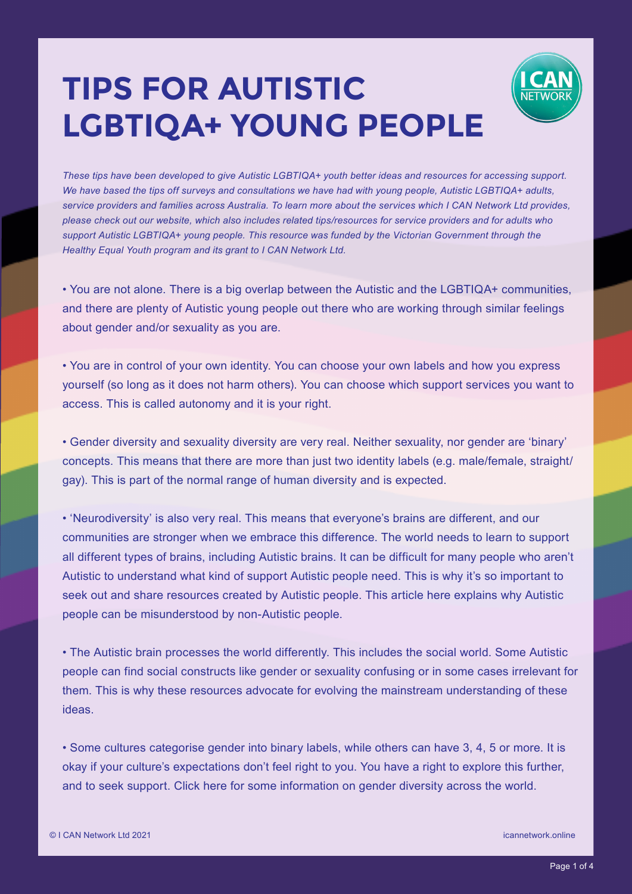## **TIPS FOR AUTISTIC LGBTIQA+ YOUNG PEOPLE**



• You are not alone. There is a big overlap between the Autistic and the LGBTIQA+ communities, and there are plenty of Autistic young people out there who are working through similar feelings about gender and/or sexuality as you are.

• You are in control of your own identity. You can choose your own labels and how you express yourself (so long as it does not harm others). You can choose which support services you want to access. This is called autonomy and it is your right.

• Gender diversity and sexuality diversity are very real. Neither sexuality, nor gender are 'binary' concepts. This means that there are more than just two identity labels (e.g. male/female, straight/ gay). This is part of the normal range of human diversity and is expected.

• 'Neurodiversity' is also very real. This means that everyone's brains are different, and our communities are stronger when we embrace this difference. The world needs to learn to support all different types of brains, including Autistic brains. It can be difficult for many people who aren't Autistic to understand what kind of support Autistic people need. This is why it's so important to seek out and share resources created by Autistic people. This article here explains why Autistic people can be misunderstood by non-Autistic people.

• The Autistic brain processes the world differently. This includes the social world. Some Autistic people can find social constructs like gender or sexuality confusing or in some cases irrelevant for them. This is why these resources advocate for evolving the mainstream understanding of these ideas.

• Some cultures categorise gender into binary labels, while others can have 3, 4, 5 or more. It is okay if your culture's expectations don't feel right to you. You have a right to explore this further, and to seek support. Click here for some information on gender diversity across the world.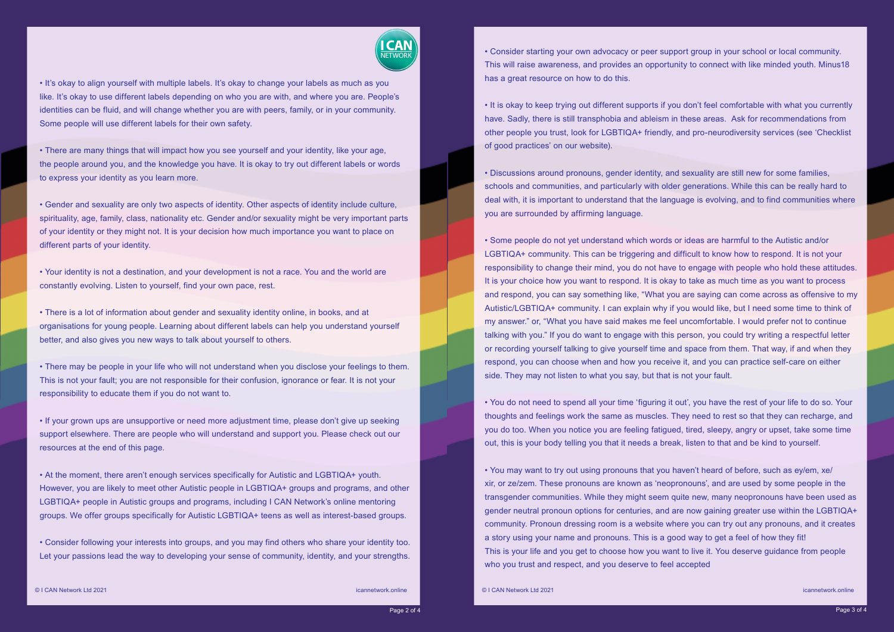

• It's okay to align yourself with multiple labels. It's okay to change your labels as much as you like. It's okay to use different labels depending on who you are with, and where you are. People's identities can be fluid, and will change whether you are with peers, family, or in your community. Some people will use different labels for their own safety.

• There are many things that will impact how you see yourself and your identity, like your age, the people around you, and the knowledge you have. It is okay to try out different labels or words to express your identity as you learn more.

• Gender and sexuality are only two aspects of identity. Other aspects of identity include culture, spirituality, age, family, class, nationality etc. Gender and/or sexuality might be very important parts of your identity or they might not. It is your decision how much importance you want to place on different parts of your identity.

• Your identity is not a destination, and your development is not a race. You and the world are constantly evolving. Listen to yourself, find your own pace, rest.

• There is a lot of information about gender and sexuality identity online, in books, and at organisations for young people. Learning about different labels can help you understand yourself better, and also gives you new ways to talk about yourself to others.

• There may be people in your life who will not understand when you disclose your feelings to them. This is not your fault; you are not responsible for their confusion, ignorance or fear. It is not your responsibility to educate them if you do not want to.

• If your grown ups are unsupportive or need more adjustment time, please don't give up seeking support elsewhere. There are people who will understand and support you. Please check out our resources at the end of this page.

• At the moment, there aren't enough services specifically for Autistic and LGBTIQA+ youth. However, you are likely to meet other Autistic people in LGBTIQA+ groups and programs, and other LGBTIQA+ people in Autistic groups and programs, including I CAN Network's online mentoring groups. We offer groups specifically for Autistic LGBTIQA+ teens as well as interest-based groups.

• Consider following your interests into groups, and you may find others who share your identity too. Let your passions lead the way to developing your sense of community, identity, and your strengths.

• Consider starting your own advocacy or peer support group in your school or local community. This will raise awareness, and provides an opportunity to connect with like minded youth. Minus18 has a great resource on how to do this.

• It is okay to keep trying out different supports if you don't feel comfortable with what you currently have. Sadly, there is still transphobia and ableism in these areas. Ask for recommendations from other people you trust, look for LGBTIQA+ friendly, and pro-neurodiversity services (see 'Checklist of good practices' on our website).

• Discussions around pronouns, gender identity, and sexuality are still new for some families, schools and communities, and particularly with older generations. While this can be really hard to deal with, it is important to understand that the language is evolving, and to find communities where you are surrounded by affirming language.

• Some people do not yet understand which words or ideas are harmful to the Autistic and/or LGBTIQA+ community. This can be triggering and difficult to know how to respond. It is not your responsibility to change their mind, you do not have to engage with people who hold these attitudes. It is your choice how you want to respond. It is okay to take as much time as you want to process and respond, you can say something like, "What you are saying can come across as offensive to my Autistic/LGBTIQA+ community. I can explain why if you would like, but I need some time to think of my answer." or, "What you have said makes me feel uncomfortable. I would prefer not to continue talking with you." If you do want to engage with this person, you could try writing a respectful letter or recording yourself talking to give yourself time and space from them. That way, if and when they respond, you can choose when and how you receive it, and you can practice self-care on either side. They may not listen to what you say, but that is not your fault.

• You do not need to spend all your time 'figuring it out', you have the rest of your life to do so. Your thoughts and feelings work the same as muscles. They need to rest so that they can recharge, and you do too. When you notice you are feeling fatigued, tired, sleepy, angry or upset, take some time out, this is your body telling you that it needs a break, listen to that and be kind to yourself.

• You may want to try out using pronouns that you haven't heard of before, such as ey/em, xe/ xir, or ze/zem. These pronouns are known as 'neopronouns', and are used by some people in the transgender communities. While they might seem quite new, many neopronouns have been used as gender neutral pronoun options for centuries, and are now gaining greater use within the LGBTIQA+ community. Pronoun dressing room is a website where you can try out any pronouns, and it creates a story using your name and pronouns. This is a good way to get a feel of how they fit! This is your life and you get to choose how you want to live it. You deserve guidance from people who you trust and respect, and you deserve to feel accepted